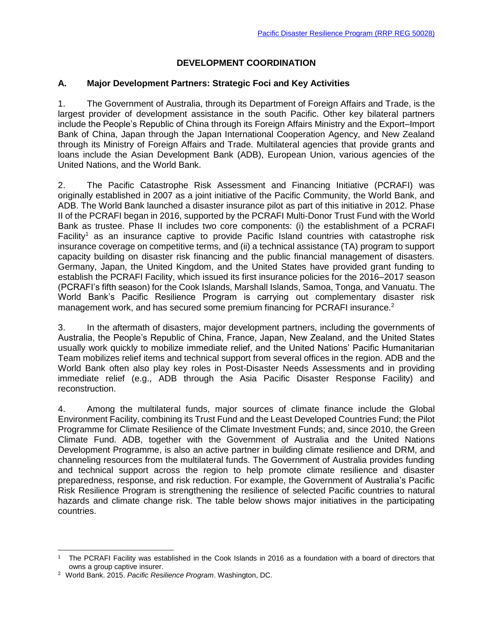# **DEVELOPMENT COORDINATION**

### **A. Major Development Partners: Strategic Foci and Key Activities**

1. The Government of Australia, through its Department of Foreign Affairs and Trade, is the largest provider of development assistance in the south Pacific. Other key bilateral partners include the People's Republic of China through its Foreign Affairs Ministry and the Export–Import Bank of China, Japan through the Japan International Cooperation Agency, and New Zealand through its Ministry of Foreign Affairs and Trade. Multilateral agencies that provide grants and loans include the Asian Development Bank (ADB), European Union, various agencies of the United Nations, and the World Bank.

2. The Pacific Catastrophe Risk Assessment and Financing Initiative (PCRAFI) was originally established in 2007 as a joint initiative of the Pacific Community, the World Bank, and ADB. The World Bank launched a disaster insurance pilot as part of this initiative in 2012. Phase II of the PCRAFI began in 2016, supported by the PCRAFI Multi-Donor Trust Fund with the World Bank as trustee. Phase II includes two core components: (i) the establishment of a PCRAFI Facility<sup>1</sup> as an insurance captive to provide Pacific Island countries with catastrophe risk insurance coverage on competitive terms, and (ii) a technical assistance (TA) program to support capacity building on disaster risk financing and the public financial management of disasters. Germany, Japan, the United Kingdom, and the United States have provided grant funding to establish the PCRAFI Facility, which issued its first insurance policies for the 2016–2017 season (PCRAFI's fifth season) for the Cook Islands, Marshall Islands, Samoa, Tonga, and Vanuatu. The World Bank's Pacific Resilience Program is carrying out complementary disaster risk management work, and has secured some premium financing for PCRAFI insurance.<sup>2</sup>

3. In the aftermath of disasters, major development partners, including the governments of Australia, the People's Republic of China, France, Japan, New Zealand, and the United States usually work quickly to mobilize immediate relief, and the United Nations' Pacific Humanitarian Team mobilizes relief items and technical support from several offices in the region. ADB and the World Bank often also play key roles in Post-Disaster Needs Assessments and in providing immediate relief (e.g., ADB through the Asia Pacific Disaster Response Facility) and reconstruction.

4. Among the multilateral funds, major sources of climate finance include the Global Environment Facility, combining its Trust Fund and the Least Developed Countries Fund; the Pilot Programme for Climate Resilience of the Climate Investment Funds; and, since 2010, the Green Climate Fund. ADB, together with the Government of Australia and the United Nations Development Programme, is also an active partner in building climate resilience and DRM, and channeling resources from the multilateral funds. The Government of Australia provides funding and technical support across the region to help promote climate resilience and disaster preparedness, response, and risk reduction. For example, the Government of Australia's Pacific Risk Resilience Program is strengthening the resilience of selected Pacific countries to natural hazards and climate change risk. The table below shows major initiatives in the participating countries.

 <sup>1</sup> The PCRAFI Facility was established in the Cook Islands in 2016 as a foundation with a board of directors that owns a group captive insurer.

<sup>2</sup> World Bank. 2015. *Pacific Resilience Program*. Washington, DC.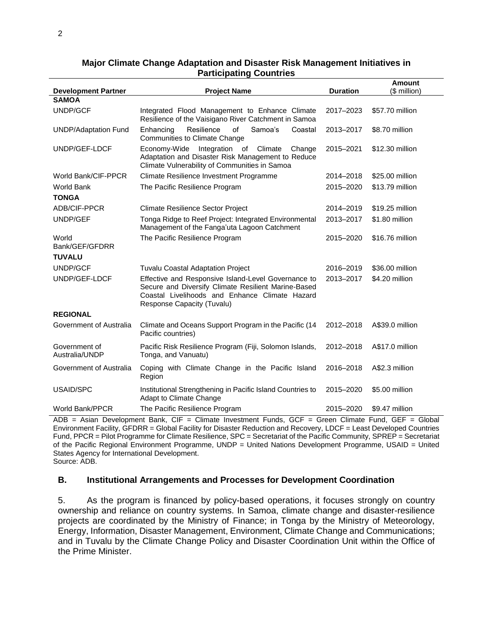|                                 |                                                                                                                                                                                            |                 | <b>Amount</b>   |
|---------------------------------|--------------------------------------------------------------------------------------------------------------------------------------------------------------------------------------------|-----------------|-----------------|
| <b>Development Partner</b>      | <b>Project Name</b>                                                                                                                                                                        | <b>Duration</b> | (\$ million)    |
| <b>SAMOA</b>                    |                                                                                                                                                                                            |                 |                 |
| <b>UNDP/GCF</b>                 | Integrated Flood Management to Enhance Climate<br>Resilience of the Vaisigano River Catchment in Samoa                                                                                     | 2017-2023       | \$57.70 million |
| <b>UNDP/Adaptation Fund</b>     | Resilience<br>of<br>Samoa's<br>Enhancing<br>Coastal<br><b>Communities to Climate Change</b>                                                                                                | 2013-2017       | \$8.70 million  |
| UNDP/GEF-LDCF                   | Economy-Wide Integration of<br>Climate<br>Change<br>Adaptation and Disaster Risk Management to Reduce<br>Climate Vulnerability of Communities in Samoa                                     | 2015-2021       | \$12.30 million |
| World Bank/CIF-PPCR             | Climate Resilience Investment Programme                                                                                                                                                    | 2014-2018       | \$25,00 million |
| <b>World Bank</b>               | The Pacific Resilience Program                                                                                                                                                             | 2015-2020       | \$13.79 million |
| <b>TONGA</b>                    |                                                                                                                                                                                            |                 |                 |
| ADB/CIF-PPCR                    | <b>Climate Resilience Sector Project</b>                                                                                                                                                   | 2014-2019       | \$19.25 million |
| UNDP/GEF                        | Tonga Ridge to Reef Project: Integrated Environmental<br>Management of the Fanga'uta Lagoon Catchment                                                                                      | 2013-2017       | \$1.80 million  |
| World<br>Bank/GEF/GFDRR         | The Pacific Resilience Program                                                                                                                                                             | 2015-2020       | \$16.76 million |
| <b>TUVALU</b>                   |                                                                                                                                                                                            |                 |                 |
| UNDP/GCF                        | <b>Tuvalu Coastal Adaptation Project</b>                                                                                                                                                   | 2016-2019       | \$36.00 million |
| UNDP/GEF-LDCF                   | Effective and Responsive Island-Level Governance to<br>Secure and Diversify Climate Resilient Marine-Based<br>Coastal Livelihoods and Enhance Climate Hazard<br>Response Capacity (Tuvalu) | 2013-2017       | \$4.20 million  |
| <b>REGIONAL</b>                 |                                                                                                                                                                                            |                 |                 |
| Government of Australia         | Climate and Oceans Support Program in the Pacific (14<br>Pacific countries)                                                                                                                | 2012-2018       | A\$39.0 million |
| Government of<br>Australia/UNDP | Pacific Risk Resilience Program (Fiji, Solomon Islands,<br>Tonga, and Vanuatu)                                                                                                             | 2012-2018       | A\$17.0 million |
| Government of Australia         | Coping with Climate Change in the Pacific Island<br>Region                                                                                                                                 | 2016-2018       | A\$2.3 million  |
| USAID/SPC                       | Institutional Strengthening in Pacific Island Countries to<br>Adapt to Climate Change                                                                                                      | 2015-2020       | \$5.00 million  |
| World Bank/PPCR                 | The Pacific Resilience Program                                                                                                                                                             | 2015-2020       | \$9.47 million  |

#### **Major Climate Change Adaptation and Disaster Risk Management Initiatives in Participating Countries**

ADB = Asian Development Bank, CIF = Climate Investment Funds, GCF = Green Climate Fund, GEF = Global Environment Facility, GFDRR = Global Facility for Disaster Reduction and Recovery, LDCF = Least Developed Countries Fund, PPCR = Pilot Programme for Climate Resilience, SPC = Secretariat of the Pacific Community, SPREP = Secretariat of the Pacific Regional Environment Programme, UNDP = United Nations Development Programme, USAID = United States Agency for International Development. Source: ADB.

#### **B. Institutional Arrangements and Processes for Development Coordination**

5. As the program is financed by policy-based operations, it focuses strongly on country ownership and reliance on country systems. In Samoa, climate change and disaster-resilience projects are coordinated by the Ministry of Finance; in Tonga by the Ministry of Meteorology, Energy, Information, Disaster Management, Environment, Climate Change and Communications; and in Tuvalu by the Climate Change Policy and Disaster Coordination Unit within the Office of the Prime Minister.